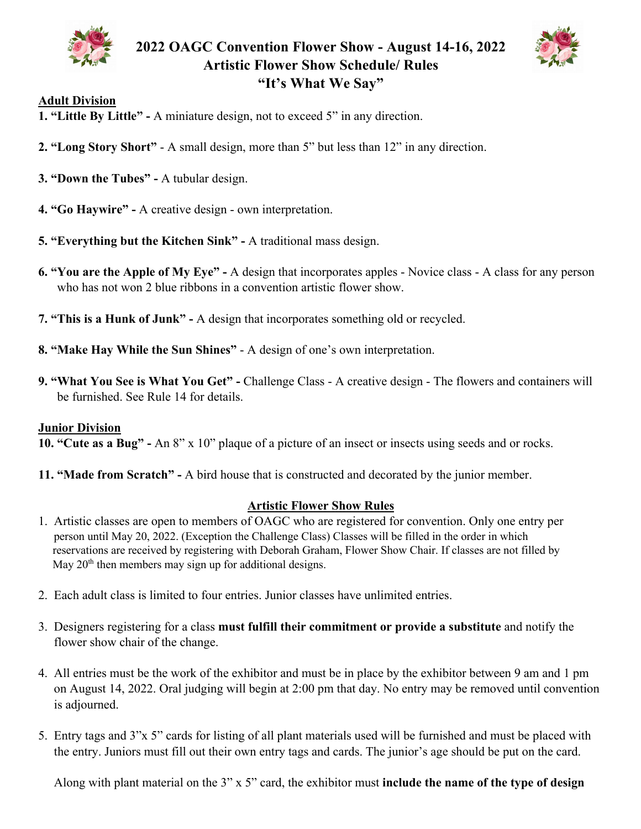



## **Adult Division**

- **1. "Little By Little" -** A miniature design, not to exceed 5" in any direction.
- **2. "Long Story Short"** A small design, more than 5" but less than 12" in any direction.
- **3. "Down the Tubes" -** A tubular design.
- **4. "Go Haywire" -** A creative design own interpretation.
- **5. "Everything but the Kitchen Sink" -** A traditional mass design.
- **6. "You are the Apple of My Eye" -** A design that incorporates apples Novice class A class for any person who has not won 2 blue ribbons in a convention artistic flower show.
- **7. "This is a Hunk of Junk" -** A design that incorporates something old or recycled.
- **8. "Make Hay While the Sun Shines"** A design of one's own interpretation.
- **9. "What You See is What You Get" -** Challenge Class A creative design The flowers and containers will be furnished. See Rule 14 for details.

## **Junior Division**

**10. "Cute as a Bug" -** An 8" x 10" plaque of a picture of an insect or insects using seeds and or rocks.

**11. "Made from Scratch" -** A bird house that is constructed and decorated by the junior member.

## **Artistic Flower Show Rules**

- 1. Artistic classes are open to members of OAGC who are registered for convention. Only one entry per person until May 20, 2022. (Exception the Challenge Class) Classes will be filled in the order in which reservations are received by registering with Deborah Graham, Flower Show Chair. If classes are not filled by May  $20<sup>th</sup>$  then members may sign up for additional designs.
- 2. Each adult class is limited to four entries. Junior classes have unlimited entries.
- 3. Designers registering for a class **must fulfill their commitment or provide a substitute** and notify the flower show chair of the change.
- 4. All entries must be the work of the exhibitor and must be in place by the exhibitor between 9 am and 1 pm on August 14, 2022. Oral judging will begin at 2:00 pm that day. No entry may be removed until convention is adjourned.
- 5. Entry tags and 3"x 5" cards for listing of all plant materials used will be furnished and must be placed with the entry. Juniors must fill out their own entry tags and cards. The junior's age should be put on the card.

Along with plant material on the 3" x 5" card, the exhibitor must **include the name of the type of design**